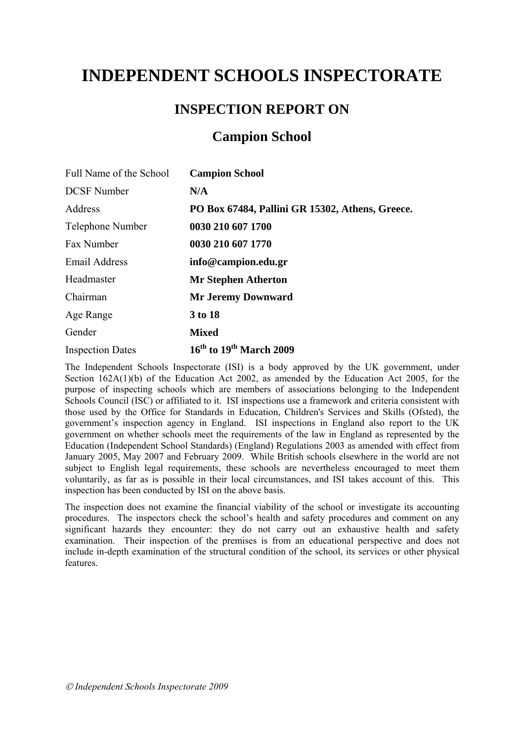# **INDEPENDENT SCHOOLS INSPECTORATE**

# **INSPECTION REPORT ON**

# **Campion School**

| Full Name of the School | <b>Campion School</b>                           |
|-------------------------|-------------------------------------------------|
| <b>DCSF</b> Number      | N/A                                             |
| Address                 | PO Box 67484, Pallini GR 15302, Athens, Greece. |
| Telephone Number        | 0030 210 607 1700                               |
| Fax Number              | 0030 210 607 1770                               |
| Email Address           | info@campion.edu.gr                             |
| Headmaster              | <b>Mr Stephen Atherton</b>                      |
| Chairman                | <b>Mr Jeremy Downward</b>                       |
| Age Range               | 3 to 18                                         |
| Gender                  | <b>Mixed</b>                                    |
| <b>Inspection Dates</b> | $16th$ to $19th$ March 2009                     |

The Independent Schools Inspectorate (ISI) is a body approved by the UK government, under Section 162A(1)(b) of the Education Act 2002, as amended by the Education Act 2005, for the purpose of inspecting schools which are members of associations belonging to the Independent Schools Council (ISC) or affiliated to it. ISI inspections use a framework and criteria consistent with those used by the Office for Standards in Education, Children's Services and Skills (Ofsted), the government's inspection agency in England. ISI inspections in England also report to the UK government on whether schools meet the requirements of the law in England as represented by the Education (Independent School Standards) (England) Regulations 2003 as amended with effect from January 2005, May 2007 and February 2009. While British schools elsewhere in the world are not subject to English legal requirements, these schools are nevertheless encouraged to meet them voluntarily, as far as is possible in their local circumstances, and ISI takes account of this. This inspection has been conducted by ISI on the above basis.

The inspection does not examine the financial viability of the school or investigate its accounting procedures. The inspectors check the school's health and safety procedures and comment on any significant hazards they encounter: they do not carry out an exhaustive health and safety examination. Their inspection of the premises is from an educational perspective and does not include in-depth examination of the structural condition of the school, its services or other physical features.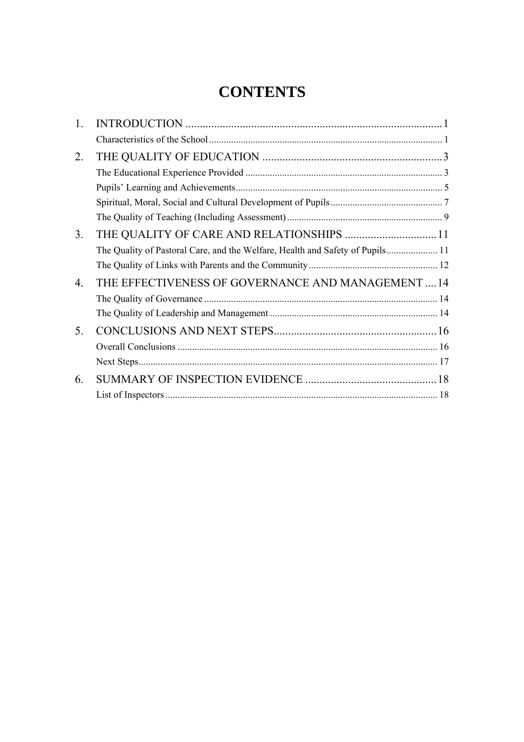# **CONTENTS**

| $\mathbf{1}$ .       |                                                                               |  |
|----------------------|-------------------------------------------------------------------------------|--|
|                      |                                                                               |  |
| 2.                   |                                                                               |  |
|                      |                                                                               |  |
|                      |                                                                               |  |
|                      |                                                                               |  |
|                      |                                                                               |  |
| 3 <sub>1</sub>       | THE QUALITY OF CARE AND RELATIONSHIPS  11                                     |  |
|                      | The Quality of Pastoral Care, and the Welfare, Health and Safety of Pupils 11 |  |
|                      |                                                                               |  |
| $\mathbf{4}_{\cdot}$ | THE EFFECTIVENESS OF GOVERNANCE AND MANAGEMENT14                              |  |
|                      |                                                                               |  |
|                      |                                                                               |  |
| 5.                   |                                                                               |  |
|                      |                                                                               |  |
|                      |                                                                               |  |
| 6.                   |                                                                               |  |
|                      |                                                                               |  |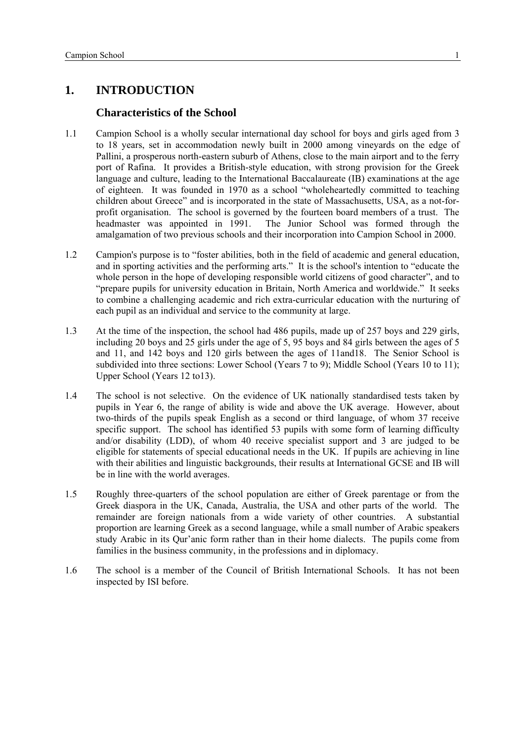# <span id="page-2-0"></span>**1. INTRODUCTION**

#### **Characteristics of the School**

- 1.1 Campion School is a wholly secular international day school for boys and girls aged from 3 to 18 years, set in accommodation newly built in 2000 among vineyards on the edge of Pallini, a prosperous north-eastern suburb of Athens, close to the main airport and to the ferry port of Rafina. It provides a British-style education, with strong provision for the Greek language and culture, leading to the International Baccalaureate (IB) examinations at the age of eighteen. It was founded in 1970 as a school "wholeheartedly committed to teaching children about Greece" and is incorporated in the state of Massachusetts, USA, as a not-forprofit organisation. The school is governed by the fourteen board members of a trust. The headmaster was appointed in 1991. The Junior School was formed through the amalgamation of two previous schools and their incorporation into Campion School in 2000.
- 1.2 Campion's purpose is to "foster abilities, both in the field of academic and general education, and in sporting activities and the performing arts." It is the school's intention to "educate the whole person in the hope of developing responsible world citizens of good character", and to "prepare pupils for university education in Britain, North America and worldwide." It seeks to combine a challenging academic and rich extra-curricular education with the nurturing of each pupil as an individual and service to the community at large.
- 1.3 At the time of the inspection, the school had 486 pupils, made up of 257 boys and 229 girls, including 20 boys and 25 girls under the age of 5, 95 boys and 84 girls between the ages of 5 and 11, and 142 boys and 120 girls between the ages of 11and18. The Senior School is subdivided into three sections: Lower School (Years 7 to 9); Middle School (Years 10 to 11); Upper School (Years 12 to13).
- 1.4 The school is not selective. On the evidence of UK nationally standardised tests taken by pupils in Year 6, the range of ability is wide and above the UK average. However, about two-thirds of the pupils speak English as a second or third language, of whom 37 receive specific support. The school has identified 53 pupils with some form of learning difficulty and/or disability (LDD), of whom 40 receive specialist support and 3 are judged to be eligible for statements of special educational needs in the UK. If pupils are achieving in line with their abilities and linguistic backgrounds, their results at International GCSE and IB will be in line with the world averages.
- 1.5 Roughly three-quarters of the school population are either of Greek parentage or from the Greek diaspora in the UK, Canada, Australia, the USA and other parts of the world. The remainder are foreign nationals from a wide variety of other countries. A substantial proportion are learning Greek as a second language, while a small number of Arabic speakers study Arabic in its Qur'anic form rather than in their home dialects. The pupils come from families in the business community, in the professions and in diplomacy.
- 1.6 The school is a member of the Council of British International Schools. It has not been inspected by ISI before.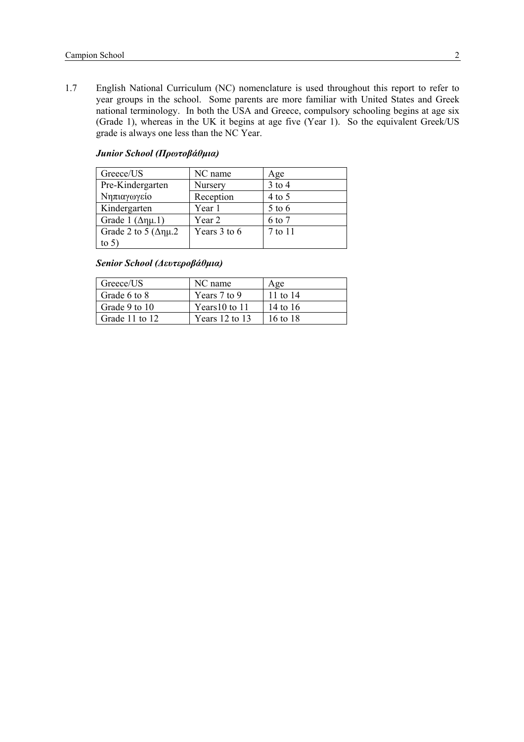1.7 English National Curriculum (NC) nomenclature is used throughout this report to refer to year groups in the school. Some parents are more familiar with United States and Greek national terminology. In both the USA and Greece, compulsory schooling begins at age six (Grade 1), whereas in the UK it begins at age five (Year 1). So the equivalent Greek/US grade is always one less than the NC Year.

| Greece/US                     | NC name      | Age        |
|-------------------------------|--------------|------------|
| Pre-Kindergarten              | Nursery      | $3$ to $4$ |
| Νηπιαγωγείο                   | Reception    | $4$ to 5   |
| Kindergarten                  | Year 1       | $5$ to 6   |
| Grade 1 $(\Delta \eta \mu.1)$ | Year 2       | 6 to 7     |
| Grade 2 to 5 ( $\Delta$ nµ.2  | Years 3 to 6 | 7 to 11    |
| to $5^\circ$                  |              |            |

#### *Junior School (Πρωτοβάθμια)*

*Senior School (Δευτεροβάθμια)* 

| Greece/US      | NC name            | Age      |
|----------------|--------------------|----------|
| Grade 6 to 8   | Years 7 to 9       | 11 to 14 |
| Grade 9 to 10  | Years $10$ to $11$ | 14 to 16 |
| Grade 11 to 12 | Years $12$ to $13$ | 16 to 18 |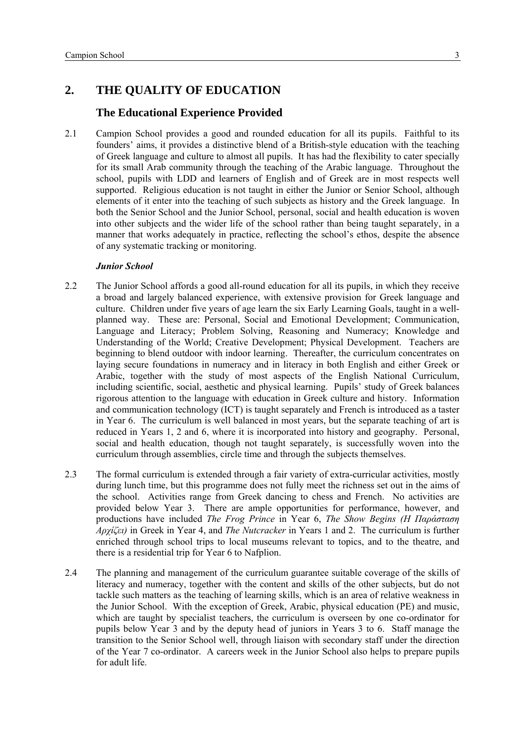# <span id="page-4-0"></span>**2. THE QUALITY OF EDUCATION**

# **The Educational Experience Provided**

2.1 Campion School provides a good and rounded education for all its pupils. Faithful to its founders' aims, it provides a distinctive blend of a British-style education with the teaching of Greek language and culture to almost all pupils. It has had the flexibility to cater specially for its small Arab community through the teaching of the Arabic language. Throughout the school, pupils with LDD and learners of English and of Greek are in most respects well supported. Religious education is not taught in either the Junior or Senior School, although elements of it enter into the teaching of such subjects as history and the Greek language. In both the Senior School and the Junior School, personal, social and health education is woven into other subjects and the wider life of the school rather than being taught separately, in a manner that works adequately in practice, reflecting the school's ethos, despite the absence of any systematic tracking or monitoring.

- 2.2 The Junior School affords a good all-round education for all its pupils, in which they receive a broad and largely balanced experience, with extensive provision for Greek language and culture. Children under five years of age learn the six Early Learning Goals, taught in a wellplanned way. These are: Personal, Social and Emotional Development; Communication, Language and Literacy; Problem Solving, Reasoning and Numeracy; Knowledge and Understanding of the World; Creative Development; Physical Development. Teachers are beginning to blend outdoor with indoor learning. Thereafter, the curriculum concentrates on laying secure foundations in numeracy and in literacy in both English and either Greek or Arabic, together with the study of most aspects of the English National Curriculum, including scientific, social, aesthetic and physical learning. Pupils' study of Greek balances rigorous attention to the language with education in Greek culture and history. Information and communication technology (ICT) is taught separately and French is introduced as a taster in Year 6. The curriculum is well balanced in most years, but the separate teaching of art is reduced in Years 1, 2 and 6, where it is incorporated into history and geography. Personal, social and health education, though not taught separately, is successfully woven into the curriculum through assemblies, circle time and through the subjects themselves.
- 2.3 The formal curriculum is extended through a fair variety of extra-curricular activities, mostly during lunch time, but this programme does not fully meet the richness set out in the aims of the school. Activities range from Greek dancing to chess and French. No activities are provided below Year 3. There are ample opportunities for performance, however, and productions have included *The Frog Prince* in Year 6, *The Show Begins (Η Παράσταση Αρχίζει)* in Greek in Year 4, and *The Nutcracker* in Years 1 and 2. The curriculum is further enriched through school trips to local museums relevant to topics, and to the theatre, and there is a residential trip for Year 6 to Nafplion.
- 2.4 The planning and management of the curriculum guarantee suitable coverage of the skills of literacy and numeracy, together with the content and skills of the other subjects, but do not tackle such matters as the teaching of learning skills, which is an area of relative weakness in the Junior School. With the exception of Greek, Arabic, physical education (PE) and music, which are taught by specialist teachers, the curriculum is overseen by one co-ordinator for pupils below Year 3 and by the deputy head of juniors in Years 3 to 6. Staff manage the transition to the Senior School well, through liaison with secondary staff under the direction of the Year 7 co-ordinator. A careers week in the Junior School also helps to prepare pupils for adult life.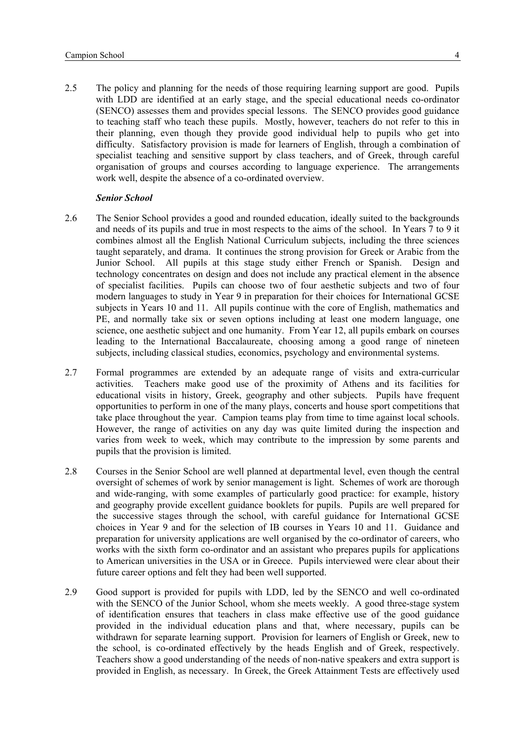2.5 The policy and planning for the needs of those requiring learning support are good. Pupils with LDD are identified at an early stage, and the special educational needs co-ordinator (SENCO) assesses them and provides special lessons. The SENCO provides good guidance to teaching staff who teach these pupils. Mostly, however, teachers do not refer to this in their planning, even though they provide good individual help to pupils who get into difficulty. Satisfactory provision is made for learners of English, through a combination of specialist teaching and sensitive support by class teachers, and of Greek, through careful organisation of groups and courses according to language experience. The arrangements work well, despite the absence of a co-ordinated overview.

- 2.6 The Senior School provides a good and rounded education, ideally suited to the backgrounds and needs of its pupils and true in most respects to the aims of the school. In Years 7 to 9 it combines almost all the English National Curriculum subjects, including the three sciences taught separately, and drama. It continues the strong provision for Greek or Arabic from the Junior School. All pupils at this stage study either French or Spanish. Design and technology concentrates on design and does not include any practical element in the absence of specialist facilities. Pupils can choose two of four aesthetic subjects and two of four modern languages to study in Year 9 in preparation for their choices for International GCSE subjects in Years 10 and 11. All pupils continue with the core of English, mathematics and PE, and normally take six or seven options including at least one modern language, one science, one aesthetic subject and one humanity. From Year 12, all pupils embark on courses leading to the International Baccalaureate, choosing among a good range of nineteen subjects, including classical studies, economics, psychology and environmental systems.
- 2.7 Formal programmes are extended by an adequate range of visits and extra-curricular activities. Teachers make good use of the proximity of Athens and its facilities for educational visits in history, Greek, geography and other subjects. Pupils have frequent opportunities to perform in one of the many plays, concerts and house sport competitions that take place throughout the year. Campion teams play from time to time against local schools. However, the range of activities on any day was quite limited during the inspection and varies from week to week, which may contribute to the impression by some parents and pupils that the provision is limited.
- 2.8 Courses in the Senior School are well planned at departmental level, even though the central oversight of schemes of work by senior management is light. Schemes of work are thorough and wide-ranging, with some examples of particularly good practice: for example, history and geography provide excellent guidance booklets for pupils. Pupils are well prepared for the successive stages through the school, with careful guidance for International GCSE choices in Year 9 and for the selection of IB courses in Years 10 and 11. Guidance and preparation for university applications are well organised by the co-ordinator of careers, who works with the sixth form co-ordinator and an assistant who prepares pupils for applications to American universities in the USA or in Greece. Pupils interviewed were clear about their future career options and felt they had been well supported.
- 2.9 Good support is provided for pupils with LDD, led by the SENCO and well co-ordinated with the SENCO of the Junior School, whom she meets weekly. A good three-stage system of identification ensures that teachers in class make effective use of the good guidance provided in the individual education plans and that, where necessary, pupils can be withdrawn for separate learning support. Provision for learners of English or Greek, new to the school, is co-ordinated effectively by the heads English and of Greek, respectively. Teachers show a good understanding of the needs of non-native speakers and extra support is provided in English, as necessary. In Greek, the Greek Attainment Tests are effectively used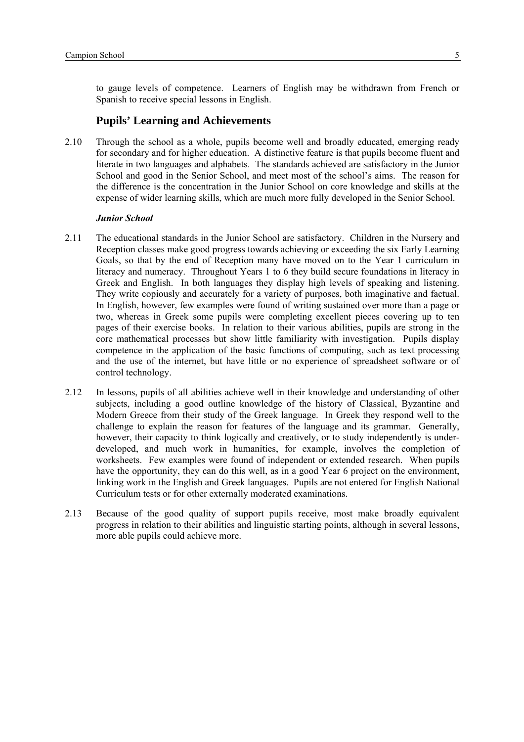<span id="page-6-0"></span>to gauge levels of competence. Learners of English may be withdrawn from French or Spanish to receive special lessons in English.

#### **Pupils' Learning and Achievements**

2.10 Through the school as a whole, pupils become well and broadly educated, emerging ready for secondary and for higher education. A distinctive feature is that pupils become fluent and literate in two languages and alphabets. The standards achieved are satisfactory in the Junior School and good in the Senior School, and meet most of the school's aims. The reason for the difference is the concentration in the Junior School on core knowledge and skills at the expense of wider learning skills, which are much more fully developed in the Senior School.

- 2.11 The educational standards in the Junior School are satisfactory. Children in the Nursery and Reception classes make good progress towards achieving or exceeding the six Early Learning Goals, so that by the end of Reception many have moved on to the Year 1 curriculum in literacy and numeracy. Throughout Years 1 to 6 they build secure foundations in literacy in Greek and English. In both languages they display high levels of speaking and listening. They write copiously and accurately for a variety of purposes, both imaginative and factual. In English, however, few examples were found of writing sustained over more than a page or two, whereas in Greek some pupils were completing excellent pieces covering up to ten pages of their exercise books. In relation to their various abilities, pupils are strong in the core mathematical processes but show little familiarity with investigation. Pupils display competence in the application of the basic functions of computing, such as text processing and the use of the internet, but have little or no experience of spreadsheet software or of control technology.
- 2.12 In lessons, pupils of all abilities achieve well in their knowledge and understanding of other subjects, including a good outline knowledge of the history of Classical, Byzantine and Modern Greece from their study of the Greek language. In Greek they respond well to the challenge to explain the reason for features of the language and its grammar. Generally, however, their capacity to think logically and creatively, or to study independently is underdeveloped, and much work in humanities, for example, involves the completion of worksheets. Few examples were found of independent or extended research. When pupils have the opportunity, they can do this well, as in a good Year 6 project on the environment, linking work in the English and Greek languages. Pupils are not entered for English National Curriculum tests or for other externally moderated examinations.
- 2.13 Because of the good quality of support pupils receive, most make broadly equivalent progress in relation to their abilities and linguistic starting points, although in several lessons, more able pupils could achieve more.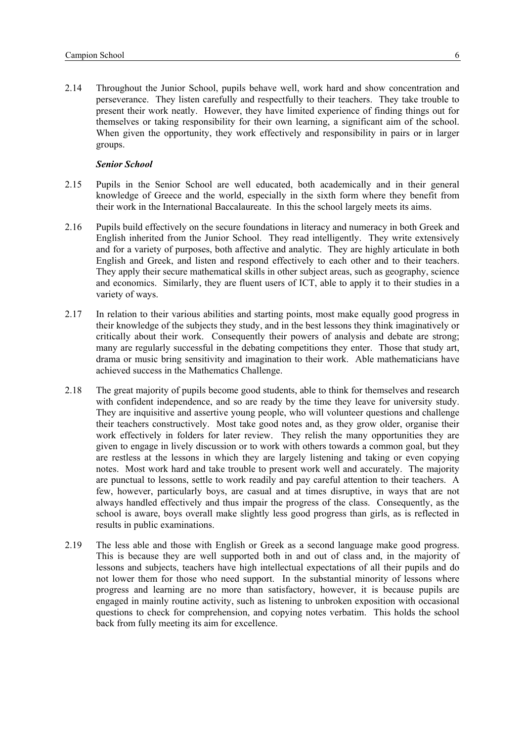2.14 Throughout the Junior School, pupils behave well, work hard and show concentration and perseverance. They listen carefully and respectfully to their teachers. They take trouble to present their work neatly. However, they have limited experience of finding things out for themselves or taking responsibility for their own learning, a significant aim of the school. When given the opportunity, they work effectively and responsibility in pairs or in larger groups.

- 2.15 Pupils in the Senior School are well educated, both academically and in their general knowledge of Greece and the world, especially in the sixth form where they benefit from their work in the International Baccalaureate. In this the school largely meets its aims.
- 2.16 Pupils build effectively on the secure foundations in literacy and numeracy in both Greek and English inherited from the Junior School. They read intelligently. They write extensively and for a variety of purposes, both affective and analytic. They are highly articulate in both English and Greek, and listen and respond effectively to each other and to their teachers. They apply their secure mathematical skills in other subject areas, such as geography, science and economics. Similarly, they are fluent users of ICT, able to apply it to their studies in a variety of ways.
- 2.17 In relation to their various abilities and starting points, most make equally good progress in their knowledge of the subjects they study, and in the best lessons they think imaginatively or critically about their work. Consequently their powers of analysis and debate are strong; many are regularly successful in the debating competitions they enter. Those that study art, drama or music bring sensitivity and imagination to their work. Able mathematicians have achieved success in the Mathematics Challenge.
- 2.18 The great majority of pupils become good students, able to think for themselves and research with confident independence, and so are ready by the time they leave for university study. They are inquisitive and assertive young people, who will volunteer questions and challenge their teachers constructively. Most take good notes and, as they grow older, organise their work effectively in folders for later review. They relish the many opportunities they are given to engage in lively discussion or to work with others towards a common goal, but they are restless at the lessons in which they are largely listening and taking or even copying notes. Most work hard and take trouble to present work well and accurately. The majority are punctual to lessons, settle to work readily and pay careful attention to their teachers. A few, however, particularly boys, are casual and at times disruptive, in ways that are not always handled effectively and thus impair the progress of the class. Consequently, as the school is aware, boys overall make slightly less good progress than girls, as is reflected in results in public examinations.
- 2.19 The less able and those with English or Greek as a second language make good progress. This is because they are well supported both in and out of class and, in the majority of lessons and subjects, teachers have high intellectual expectations of all their pupils and do not lower them for those who need support. In the substantial minority of lessons where progress and learning are no more than satisfactory, however, it is because pupils are engaged in mainly routine activity, such as listening to unbroken exposition with occasional questions to check for comprehension, and copying notes verbatim. This holds the school back from fully meeting its aim for excellence.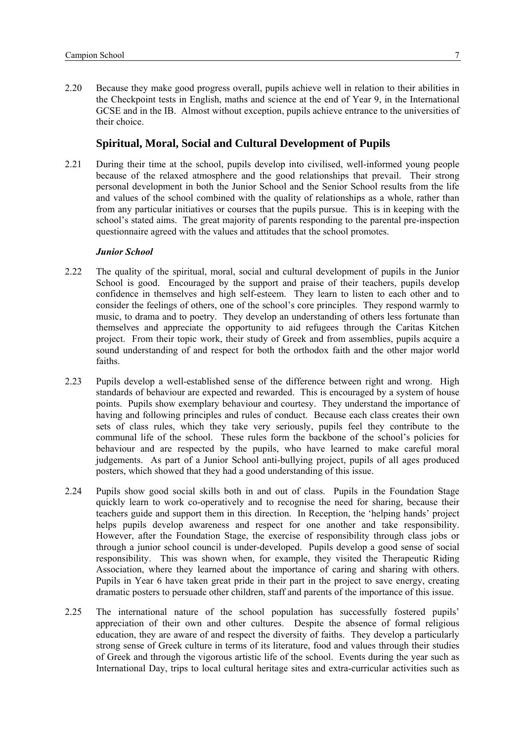<span id="page-8-0"></span>2.20 Because they make good progress overall, pupils achieve well in relation to their abilities in the Checkpoint tests in English, maths and science at the end of Year 9, in the International GCSE and in the IB. Almost without exception, pupils achieve entrance to the universities of their choice.

#### **Spiritual, Moral, Social and Cultural Development of Pupils**

2.21 During their time at the school, pupils develop into civilised, well-informed young people because of the relaxed atmosphere and the good relationships that prevail. Their strong personal development in both the Junior School and the Senior School results from the life and values of the school combined with the quality of relationships as a whole, rather than from any particular initiatives or courses that the pupils pursue. This is in keeping with the school's stated aims. The great majority of parents responding to the parental pre-inspection questionnaire agreed with the values and attitudes that the school promotes.

- 2.22 The quality of the spiritual, moral, social and cultural development of pupils in the Junior School is good. Encouraged by the support and praise of their teachers, pupils develop confidence in themselves and high self-esteem. They learn to listen to each other and to consider the feelings of others, one of the school's core principles. They respond warmly to music, to drama and to poetry. They develop an understanding of others less fortunate than themselves and appreciate the opportunity to aid refugees through the Caritas Kitchen project. From their topic work, their study of Greek and from assemblies, pupils acquire a sound understanding of and respect for both the orthodox faith and the other major world faiths.
- 2.23 Pupils develop a well-established sense of the difference between right and wrong. High standards of behaviour are expected and rewarded. This is encouraged by a system of house points. Pupils show exemplary behaviour and courtesy. They understand the importance of having and following principles and rules of conduct. Because each class creates their own sets of class rules, which they take very seriously, pupils feel they contribute to the communal life of the school. These rules form the backbone of the school's policies for behaviour and are respected by the pupils, who have learned to make careful moral judgements. As part of a Junior School anti-bullying project, pupils of all ages produced posters, which showed that they had a good understanding of this issue.
- 2.24 Pupils show good social skills both in and out of class. Pupils in the Foundation Stage quickly learn to work co-operatively and to recognise the need for sharing, because their teachers guide and support them in this direction. In Reception, the 'helping hands' project helps pupils develop awareness and respect for one another and take responsibility. However, after the Foundation Stage, the exercise of responsibility through class jobs or through a junior school council is under-developed. Pupils develop a good sense of social responsibility. This was shown when, for example, they visited the Therapeutic Riding Association, where they learned about the importance of caring and sharing with others. Pupils in Year 6 have taken great pride in their part in the project to save energy, creating dramatic posters to persuade other children, staff and parents of the importance of this issue.
- 2.25 The international nature of the school population has successfully fostered pupils' appreciation of their own and other cultures. Despite the absence of formal religious education, they are aware of and respect the diversity of faiths. They develop a particularly strong sense of Greek culture in terms of its literature, food and values through their studies of Greek and through the vigorous artistic life of the school. Events during the year such as International Day, trips to local cultural heritage sites and extra-curricular activities such as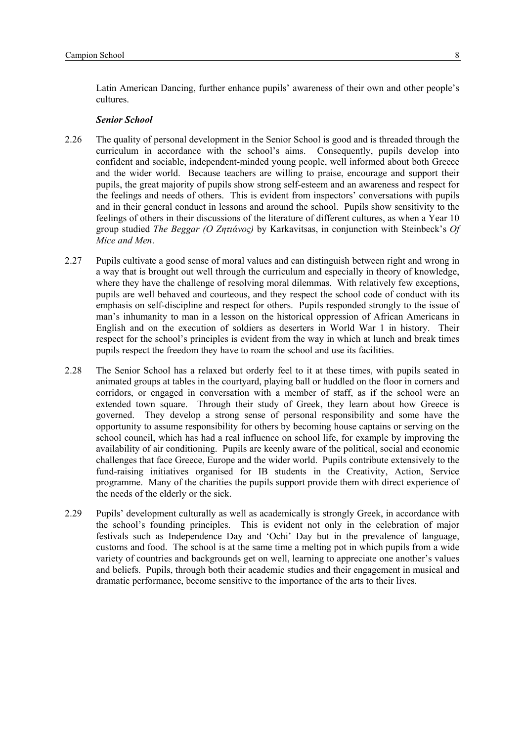Latin American Dancing, further enhance pupils' awareness of their own and other people's cultures.

- 2.26 The quality of personal development in the Senior School is good and is threaded through the curriculum in accordance with the school's aims. Consequently, pupils develop into confident and sociable, independent-minded young people, well informed about both Greece and the wider world. Because teachers are willing to praise, encourage and support their pupils, the great majority of pupils show strong self-esteem and an awareness and respect for the feelings and needs of others. This is evident from inspectors' conversations with pupils and in their general conduct in lessons and around the school. Pupils show sensitivity to the feelings of others in their discussions of the literature of different cultures, as when a Year 10 group studied *The Beggar (Ο Ζητιάνος)* by Karkavitsas, in conjunction with Steinbeck's *Of Mice and Men*.
- 2.27 Pupils cultivate a good sense of moral values and can distinguish between right and wrong in a way that is brought out well through the curriculum and especially in theory of knowledge, where they have the challenge of resolving moral dilemmas. With relatively few exceptions, pupils are well behaved and courteous, and they respect the school code of conduct with its emphasis on self-discipline and respect for others. Pupils responded strongly to the issue of man's inhumanity to man in a lesson on the historical oppression of African Americans in English and on the execution of soldiers as deserters in World War 1 in history. Their respect for the school's principles is evident from the way in which at lunch and break times pupils respect the freedom they have to roam the school and use its facilities.
- 2.28 The Senior School has a relaxed but orderly feel to it at these times, with pupils seated in animated groups at tables in the courtyard, playing ball or huddled on the floor in corners and corridors, or engaged in conversation with a member of staff, as if the school were an extended town square. Through their study of Greek, they learn about how Greece is governed. They develop a strong sense of personal responsibility and some have the opportunity to assume responsibility for others by becoming house captains or serving on the school council, which has had a real influence on school life, for example by improving the availability of air conditioning. Pupils are keenly aware of the political, social and economic challenges that face Greece, Europe and the wider world. Pupils contribute extensively to the fund-raising initiatives organised for IB students in the Creativity, Action, Service programme. Many of the charities the pupils support provide them with direct experience of the needs of the elderly or the sick.
- 2.29 Pupils' development culturally as well as academically is strongly Greek, in accordance with the school's founding principles. This is evident not only in the celebration of major festivals such as Independence Day and 'Ochi' Day but in the prevalence of language, customs and food. The school is at the same time a melting pot in which pupils from a wide variety of countries and backgrounds get on well, learning to appreciate one another's values and beliefs. Pupils, through both their academic studies and their engagement in musical and dramatic performance, become sensitive to the importance of the arts to their lives.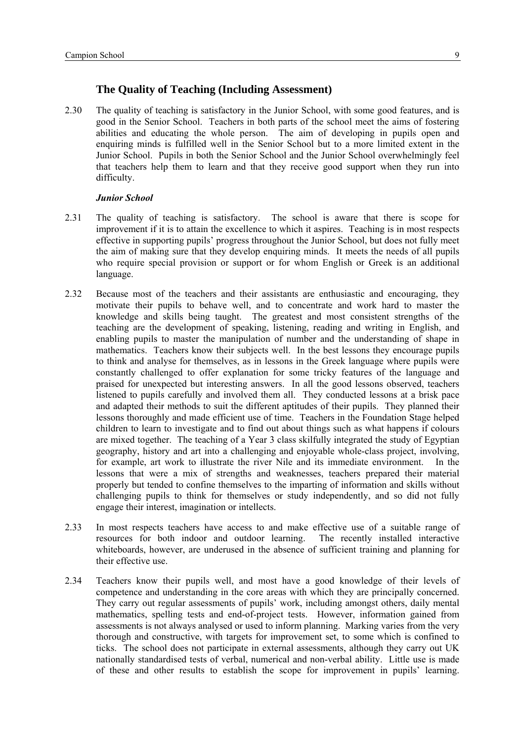#### **The Quality of Teaching (Including Assessment)**

<span id="page-10-0"></span>2.30 The quality of teaching is satisfactory in the Junior School, with some good features, and is good in the Senior School. Teachers in both parts of the school meet the aims of fostering abilities and educating the whole person. The aim of developing in pupils open and enquiring minds is fulfilled well in the Senior School but to a more limited extent in the Junior School. Pupils in both the Senior School and the Junior School overwhelmingly feel that teachers help them to learn and that they receive good support when they run into difficulty.

- 2.31 The quality of teaching is satisfactory. The school is aware that there is scope for improvement if it is to attain the excellence to which it aspires. Teaching is in most respects effective in supporting pupils' progress throughout the Junior School, but does not fully meet the aim of making sure that they develop enquiring minds. It meets the needs of all pupils who require special provision or support or for whom English or Greek is an additional language.
- 2.32 Because most of the teachers and their assistants are enthusiastic and encouraging, they motivate their pupils to behave well, and to concentrate and work hard to master the knowledge and skills being taught. The greatest and most consistent strengths of the teaching are the development of speaking, listening, reading and writing in English, and enabling pupils to master the manipulation of number and the understanding of shape in mathematics. Teachers know their subjects well. In the best lessons they encourage pupils to think and analyse for themselves, as in lessons in the Greek language where pupils were constantly challenged to offer explanation for some tricky features of the language and praised for unexpected but interesting answers. In all the good lessons observed, teachers listened to pupils carefully and involved them all. They conducted lessons at a brisk pace and adapted their methods to suit the different aptitudes of their pupils. They planned their lessons thoroughly and made efficient use of time. Teachers in the Foundation Stage helped children to learn to investigate and to find out about things such as what happens if colours are mixed together. The teaching of a Year 3 class skilfully integrated the study of Egyptian geography, history and art into a challenging and enjoyable whole-class project, involving, for example, art work to illustrate the river Nile and its immediate environment. In the lessons that were a mix of strengths and weaknesses, teachers prepared their material properly but tended to confine themselves to the imparting of information and skills without challenging pupils to think for themselves or study independently, and so did not fully engage their interest, imagination or intellects.
- 2.33 In most respects teachers have access to and make effective use of a suitable range of resources for both indoor and outdoor learning. The recently installed interactive whiteboards, however, are underused in the absence of sufficient training and planning for their effective use.
- 2.34 Teachers know their pupils well, and most have a good knowledge of their levels of competence and understanding in the core areas with which they are principally concerned. They carry out regular assessments of pupils' work, including amongst others, daily mental mathematics, spelling tests and end-of-project tests. However, information gained from assessments is not always analysed or used to inform planning. Marking varies from the very thorough and constructive, with targets for improvement set, to some which is confined to ticks. The school does not participate in external assessments, although they carry out UK nationally standardised tests of verbal, numerical and non-verbal ability. Little use is made of these and other results to establish the scope for improvement in pupils' learning.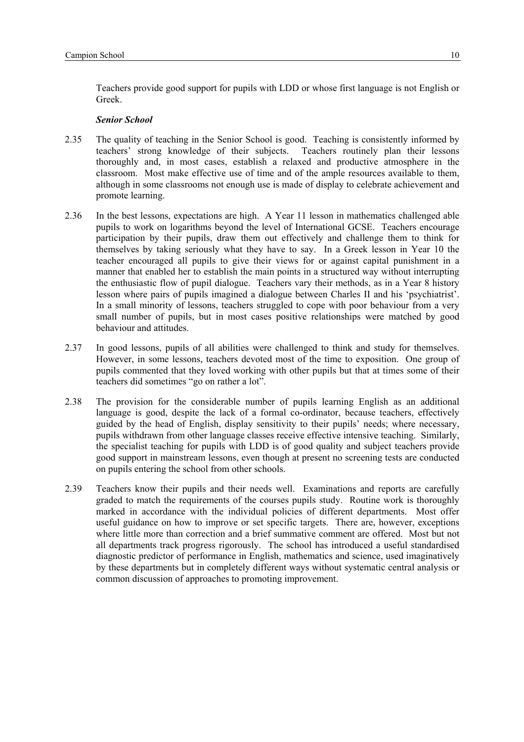Teachers provide good support for pupils with LDD or whose first language is not English or Greek.

- 2.35 The quality of teaching in the Senior School is good. Teaching is consistently informed by teachers' strong knowledge of their subjects. Teachers routinely plan their lessons thoroughly and, in most cases, establish a relaxed and productive atmosphere in the classroom. Most make effective use of time and of the ample resources available to them, although in some classrooms not enough use is made of display to celebrate achievement and promote learning.
- 2.36 In the best lessons, expectations are high. A Year 11 lesson in mathematics challenged able pupils to work on logarithms beyond the level of International GCSE. Teachers encourage participation by their pupils, draw them out effectively and challenge them to think for themselves by taking seriously what they have to say. In a Greek lesson in Year 10 the teacher encouraged all pupils to give their views for or against capital punishment in a manner that enabled her to establish the main points in a structured way without interrupting the enthusiastic flow of pupil dialogue. Teachers vary their methods, as in a Year 8 history lesson where pairs of pupils imagined a dialogue between Charles II and his 'psychiatrist'. In a small minority of lessons, teachers struggled to cope with poor behaviour from a very small number of pupils, but in most cases positive relationships were matched by good behaviour and attitudes.
- 2.37 In good lessons, pupils of all abilities were challenged to think and study for themselves. However, in some lessons, teachers devoted most of the time to exposition. One group of pupils commented that they loved working with other pupils but that at times some of their teachers did sometimes "go on rather a lot".
- 2.38 The provision for the considerable number of pupils learning English as an additional language is good, despite the lack of a formal co-ordinator, because teachers, effectively guided by the head of English, display sensitivity to their pupils' needs; where necessary, pupils withdrawn from other language classes receive effective intensive teaching. Similarly, the specialist teaching for pupils with LDD is of good quality and subject teachers provide good support in mainstream lessons, even though at present no screening tests are conducted on pupils entering the school from other schools.
- 2.39 Teachers know their pupils and their needs well. Examinations and reports are carefully graded to match the requirements of the courses pupils study. Routine work is thoroughly marked in accordance with the individual policies of different departments. Most offer useful guidance on how to improve or set specific targets. There are, however, exceptions where little more than correction and a brief summative comment are offered. Most but not all departments track progress rigorously. The school has introduced a useful standardised diagnostic predictor of performance in English, mathematics and science, used imaginatively by these departments but in completely different ways without systematic central analysis or common discussion of approaches to promoting improvement.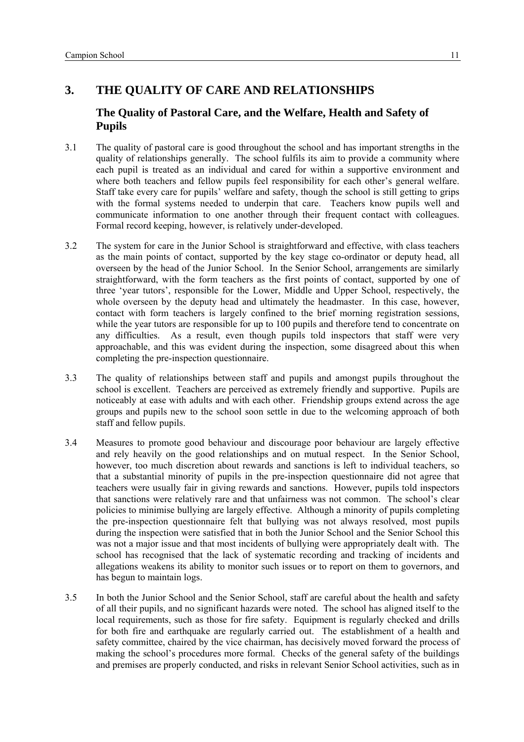# <span id="page-12-0"></span>**3. THE QUALITY OF CARE AND RELATIONSHIPS**

# **The Quality of Pastoral Care, and the Welfare, Health and Safety of Pupils**

- 3.1 The quality of pastoral care is good throughout the school and has important strengths in the quality of relationships generally. The school fulfils its aim to provide a community where each pupil is treated as an individual and cared for within a supportive environment and where both teachers and fellow pupils feel responsibility for each other's general welfare. Staff take every care for pupils' welfare and safety, though the school is still getting to grips with the formal systems needed to underpin that care. Teachers know pupils well and communicate information to one another through their frequent contact with colleagues. Formal record keeping, however, is relatively under-developed.
- 3.2 The system for care in the Junior School is straightforward and effective, with class teachers as the main points of contact, supported by the key stage co-ordinator or deputy head, all overseen by the head of the Junior School. In the Senior School, arrangements are similarly straightforward, with the form teachers as the first points of contact, supported by one of three 'year tutors', responsible for the Lower, Middle and Upper School, respectively, the whole overseen by the deputy head and ultimately the headmaster. In this case, however, contact with form teachers is largely confined to the brief morning registration sessions, while the year tutors are responsible for up to 100 pupils and therefore tend to concentrate on any difficulties. As a result, even though pupils told inspectors that staff were very approachable, and this was evident during the inspection, some disagreed about this when completing the pre-inspection questionnaire.
- 3.3 The quality of relationships between staff and pupils and amongst pupils throughout the school is excellent. Teachers are perceived as extremely friendly and supportive. Pupils are noticeably at ease with adults and with each other. Friendship groups extend across the age groups and pupils new to the school soon settle in due to the welcoming approach of both staff and fellow pupils.
- 3.4 Measures to promote good behaviour and discourage poor behaviour are largely effective and rely heavily on the good relationships and on mutual respect. In the Senior School, however, too much discretion about rewards and sanctions is left to individual teachers, so that a substantial minority of pupils in the pre-inspection questionnaire did not agree that teachers were usually fair in giving rewards and sanctions. However, pupils told inspectors that sanctions were relatively rare and that unfairness was not common. The school's clear policies to minimise bullying are largely effective. Although a minority of pupils completing the pre-inspection questionnaire felt that bullying was not always resolved, most pupils during the inspection were satisfied that in both the Junior School and the Senior School this was not a major issue and that most incidents of bullying were appropriately dealt with. The school has recognised that the lack of systematic recording and tracking of incidents and allegations weakens its ability to monitor such issues or to report on them to governors, and has begun to maintain logs.
- 3.5 In both the Junior School and the Senior School, staff are careful about the health and safety of all their pupils, and no significant hazards were noted. The school has aligned itself to the local requirements, such as those for fire safety. Equipment is regularly checked and drills for both fire and earthquake are regularly carried out. The establishment of a health and safety committee, chaired by the vice chairman, has decisively moved forward the process of making the school's procedures more formal. Checks of the general safety of the buildings and premises are properly conducted, and risks in relevant Senior School activities, such as in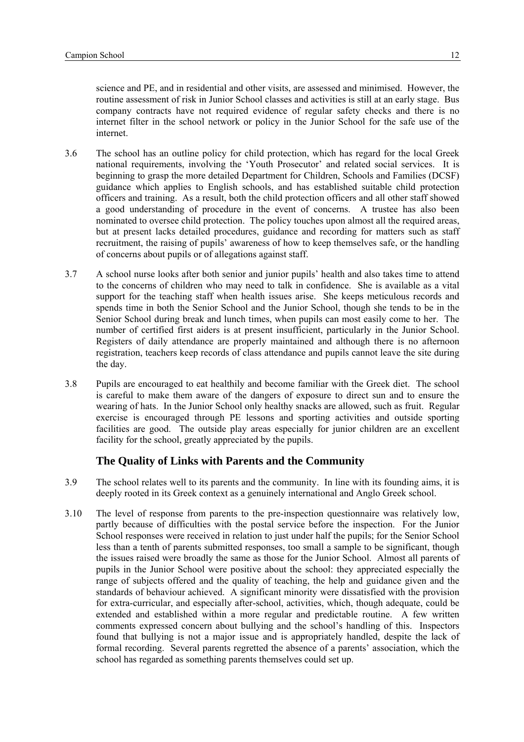<span id="page-13-0"></span>science and PE, and in residential and other visits, are assessed and minimised. However, the routine assessment of risk in Junior School classes and activities is still at an early stage. Bus company contracts have not required evidence of regular safety checks and there is no internet filter in the school network or policy in the Junior School for the safe use of the internet.

- 3.6 The school has an outline policy for child protection, which has regard for the local Greek national requirements, involving the 'Youth Prosecutor' and related social services. It is beginning to grasp the more detailed Department for Children, Schools and Families (DCSF) guidance which applies to English schools, and has established suitable child protection officers and training. As a result, both the child protection officers and all other staff showed a good understanding of procedure in the event of concerns. A trustee has also been nominated to oversee child protection. The policy touches upon almost all the required areas, but at present lacks detailed procedures, guidance and recording for matters such as staff recruitment, the raising of pupils' awareness of how to keep themselves safe, or the handling of concerns about pupils or of allegations against staff.
- 3.7 A school nurse looks after both senior and junior pupils' health and also takes time to attend to the concerns of children who may need to talk in confidence. She is available as a vital support for the teaching staff when health issues arise. She keeps meticulous records and spends time in both the Senior School and the Junior School, though she tends to be in the Senior School during break and lunch times, when pupils can most easily come to her. The number of certified first aiders is at present insufficient, particularly in the Junior School. Registers of daily attendance are properly maintained and although there is no afternoon registration, teachers keep records of class attendance and pupils cannot leave the site during the day.
- 3.8 Pupils are encouraged to eat healthily and become familiar with the Greek diet. The school is careful to make them aware of the dangers of exposure to direct sun and to ensure the wearing of hats. In the Junior School only healthy snacks are allowed, such as fruit. Regular exercise is encouraged through PE lessons and sporting activities and outside sporting facilities are good. The outside play areas especially for junior children are an excellent facility for the school, greatly appreciated by the pupils.

### **The Quality of Links with Parents and the Community**

- 3.9 The school relates well to its parents and the community. In line with its founding aims, it is deeply rooted in its Greek context as a genuinely international and Anglo Greek school.
- 3.10 The level of response from parents to the pre-inspection questionnaire was relatively low, partly because of difficulties with the postal service before the inspection. For the Junior School responses were received in relation to just under half the pupils; for the Senior School less than a tenth of parents submitted responses, too small a sample to be significant, though the issues raised were broadly the same as those for the Junior School. Almost all parents of pupils in the Junior School were positive about the school: they appreciated especially the range of subjects offered and the quality of teaching, the help and guidance given and the standards of behaviour achieved. A significant minority were dissatisfied with the provision for extra-curricular, and especially after-school, activities, which, though adequate, could be extended and established within a more regular and predictable routine. A few written comments expressed concern about bullying and the school's handling of this. Inspectors found that bullying is not a major issue and is appropriately handled, despite the lack of formal recording. Several parents regretted the absence of a parents' association, which the school has regarded as something parents themselves could set up.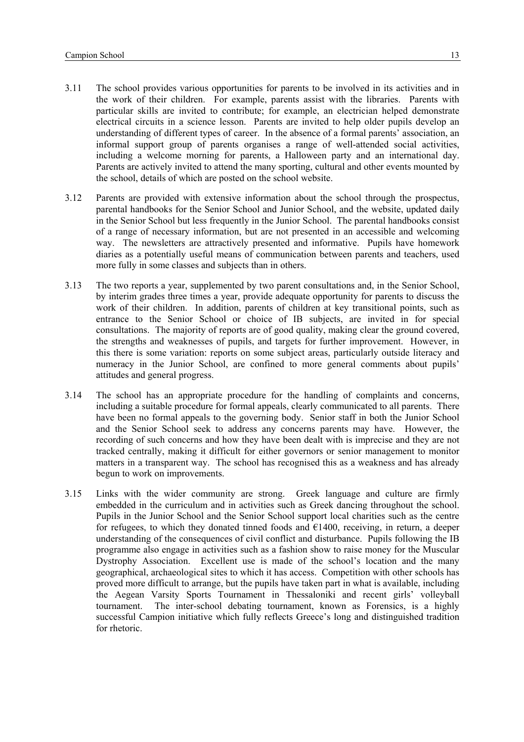- 3.11 The school provides various opportunities for parents to be involved in its activities and in the work of their children. For example, parents assist with the libraries. Parents with particular skills are invited to contribute; for example, an electrician helped demonstrate electrical circuits in a science lesson. Parents are invited to help older pupils develop an understanding of different types of career. In the absence of a formal parents' association, an informal support group of parents organises a range of well-attended social activities, including a welcome morning for parents, a Halloween party and an international day. Parents are actively invited to attend the many sporting, cultural and other events mounted by the school, details of which are posted on the school website.
- 3.12 Parents are provided with extensive information about the school through the prospectus, parental handbooks for the Senior School and Junior School, and the website, updated daily in the Senior School but less frequently in the Junior School. The parental handbooks consist of a range of necessary information, but are not presented in an accessible and welcoming way. The newsletters are attractively presented and informative. Pupils have homework diaries as a potentially useful means of communication between parents and teachers, used more fully in some classes and subjects than in others.
- 3.13 The two reports a year, supplemented by two parent consultations and, in the Senior School, by interim grades three times a year, provide adequate opportunity for parents to discuss the work of their children. In addition, parents of children at key transitional points, such as entrance to the Senior School or choice of IB subjects, are invited in for special consultations. The majority of reports are of good quality, making clear the ground covered, the strengths and weaknesses of pupils, and targets for further improvement. However, in this there is some variation: reports on some subject areas, particularly outside literacy and numeracy in the Junior School, are confined to more general comments about pupils' attitudes and general progress.
- 3.14 The school has an appropriate procedure for the handling of complaints and concerns, including a suitable procedure for formal appeals, clearly communicated to all parents. There have been no formal appeals to the governing body. Senior staff in both the Junior School and the Senior School seek to address any concerns parents may have. However, the recording of such concerns and how they have been dealt with is imprecise and they are not tracked centrally, making it difficult for either governors or senior management to monitor matters in a transparent way. The school has recognised this as a weakness and has already begun to work on improvements.
- 3.15 Links with the wider community are strong. Greek language and culture are firmly embedded in the curriculum and in activities such as Greek dancing throughout the school. Pupils in the Junior School and the Senior School support local charities such as the centre for refugees, to which they donated tinned foods and  $E1400$ , receiving, in return, a deeper understanding of the consequences of civil conflict and disturbance. Pupils following the IB programme also engage in activities such as a fashion show to raise money for the Muscular Dystrophy Association. Excellent use is made of the school's location and the many geographical, archaeological sites to which it has access. Competition with other schools has proved more difficult to arrange, but the pupils have taken part in what is available, including the Aegean Varsity Sports Tournament in Thessaloniki and recent girls' volleyball tournament. The inter-school debating tournament, known as Forensics, is a highly successful Campion initiative which fully reflects Greece's long and distinguished tradition for rhetoric.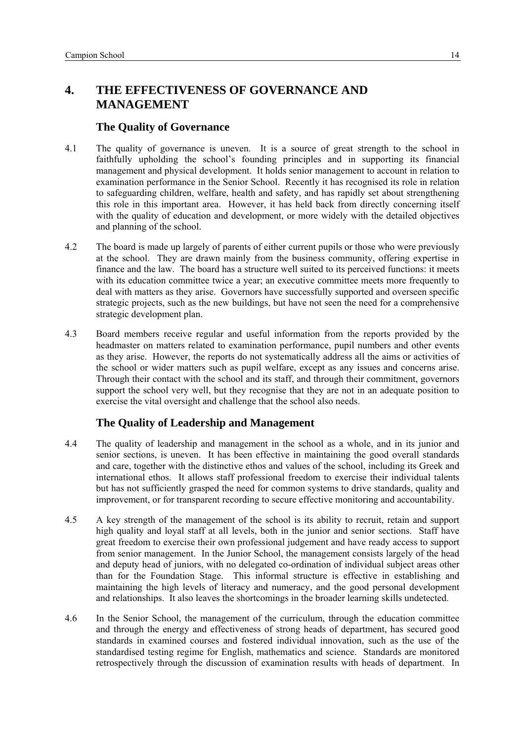# <span id="page-15-0"></span>**4. THE EFFECTIVENESS OF GOVERNANCE AND MANAGEMENT**

### **The Quality of Governance**

- 4.1 The quality of governance is uneven. It is a source of great strength to the school in faithfully upholding the school's founding principles and in supporting its financial management and physical development. It holds senior management to account in relation to examination performance in the Senior School. Recently it has recognised its role in relation to safeguarding children, welfare, health and safety, and has rapidly set about strengthening this role in this important area. However, it has held back from directly concerning itself with the quality of education and development, or more widely with the detailed objectives and planning of the school.
- 4.2 The board is made up largely of parents of either current pupils or those who were previously at the school. They are drawn mainly from the business community, offering expertise in finance and the law. The board has a structure well suited to its perceived functions: it meets with its education committee twice a year; an executive committee meets more frequently to deal with matters as they arise. Governors have successfully supported and overseen specific strategic projects, such as the new buildings, but have not seen the need for a comprehensive strategic development plan.
- 4.3 Board members receive regular and useful information from the reports provided by the headmaster on matters related to examination performance, pupil numbers and other events as they arise. However, the reports do not systematically address all the aims or activities of the school or wider matters such as pupil welfare, except as any issues and concerns arise. Through their contact with the school and its staff, and through their commitment, governors support the school very well, but they recognise that they are not in an adequate position to exercise the vital oversight and challenge that the school also needs.

# **The Quality of Leadership and Management**

- 4.4 The quality of leadership and management in the school as a whole, and in its junior and senior sections, is uneven. It has been effective in maintaining the good overall standards and care, together with the distinctive ethos and values of the school, including its Greek and international ethos. It allows staff professional freedom to exercise their individual talents but has not sufficiently grasped the need for common systems to drive standards, quality and improvement, or for transparent recording to secure effective monitoring and accountability.
- 4.5 A key strength of the management of the school is its ability to recruit, retain and support high quality and loyal staff at all levels, both in the junior and senior sections. Staff have great freedom to exercise their own professional judgement and have ready access to support from senior management. In the Junior School, the management consists largely of the head and deputy head of juniors, with no delegated co-ordination of individual subject areas other than for the Foundation Stage. This informal structure is effective in establishing and maintaining the high levels of literacy and numeracy, and the good personal development and relationships. It also leaves the shortcomings in the broader learning skills undetected.
- 4.6 In the Senior School, the management of the curriculum, through the education committee and through the energy and effectiveness of strong heads of department, has secured good standards in examined courses and fostered individual innovation, such as the use of the standardised testing regime for English, mathematics and science. Standards are monitored retrospectively through the discussion of examination results with heads of department. In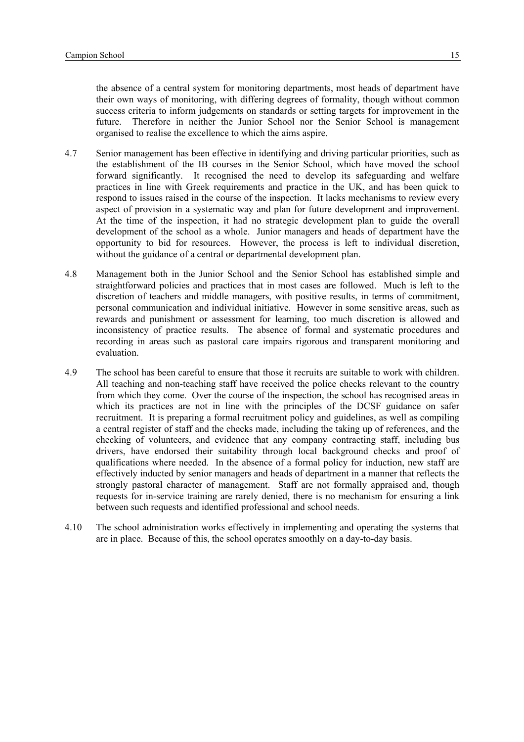the absence of a central system for monitoring departments, most heads of department have their own ways of monitoring, with differing degrees of formality, though without common success criteria to inform judgements on standards or setting targets for improvement in the future. Therefore in neither the Junior School nor the Senior School is management organised to realise the excellence to which the aims aspire.

- 4.7 Senior management has been effective in identifying and driving particular priorities, such as the establishment of the IB courses in the Senior School, which have moved the school forward significantly. It recognised the need to develop its safeguarding and welfare practices in line with Greek requirements and practice in the UK, and has been quick to respond to issues raised in the course of the inspection. It lacks mechanisms to review every aspect of provision in a systematic way and plan for future development and improvement. At the time of the inspection, it had no strategic development plan to guide the overall development of the school as a whole. Junior managers and heads of department have the opportunity to bid for resources. However, the process is left to individual discretion, without the guidance of a central or departmental development plan.
- 4.8 Management both in the Junior School and the Senior School has established simple and straightforward policies and practices that in most cases are followed. Much is left to the discretion of teachers and middle managers, with positive results, in terms of commitment, personal communication and individual initiative. However in some sensitive areas, such as rewards and punishment or assessment for learning, too much discretion is allowed and inconsistency of practice results. The absence of formal and systematic procedures and recording in areas such as pastoral care impairs rigorous and transparent monitoring and evaluation.
- 4.9 The school has been careful to ensure that those it recruits are suitable to work with children. All teaching and non-teaching staff have received the police checks relevant to the country from which they come. Over the course of the inspection, the school has recognised areas in which its practices are not in line with the principles of the DCSF guidance on safer recruitment. It is preparing a formal recruitment policy and guidelines, as well as compiling a central register of staff and the checks made, including the taking up of references, and the checking of volunteers, and evidence that any company contracting staff, including bus drivers, have endorsed their suitability through local background checks and proof of qualifications where needed. In the absence of a formal policy for induction, new staff are effectively inducted by senior managers and heads of department in a manner that reflects the strongly pastoral character of management. Staff are not formally appraised and, though requests for in-service training are rarely denied, there is no mechanism for ensuring a link between such requests and identified professional and school needs.
- 4.10 The school administration works effectively in implementing and operating the systems that are in place. Because of this, the school operates smoothly on a day-to-day basis.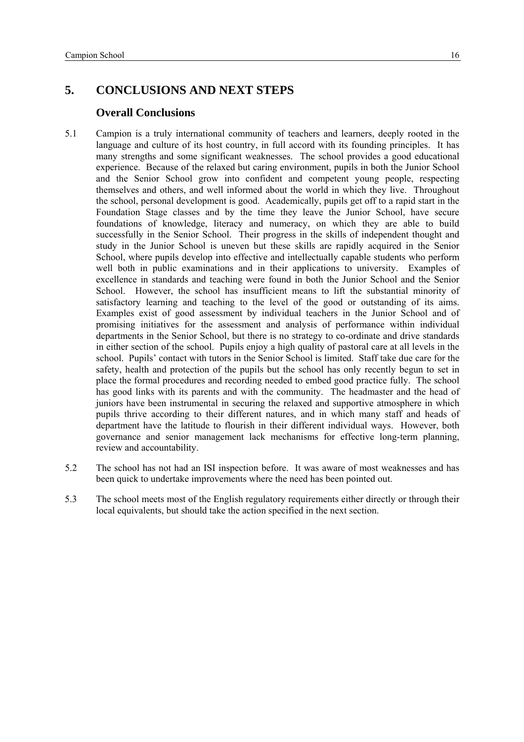# <span id="page-17-0"></span>**5. CONCLUSIONS AND NEXT STEPS**

#### **Overall Conclusions**

- 5.1 Campion is a truly international community of teachers and learners, deeply rooted in the language and culture of its host country, in full accord with its founding principles. It has many strengths and some significant weaknesses. The school provides a good educational experience. Because of the relaxed but caring environment, pupils in both the Junior School and the Senior School grow into confident and competent young people, respecting themselves and others, and well informed about the world in which they live. Throughout the school, personal development is good. Academically, pupils get off to a rapid start in the Foundation Stage classes and by the time they leave the Junior School, have secure foundations of knowledge, literacy and numeracy, on which they are able to build successfully in the Senior School. Their progress in the skills of independent thought and study in the Junior School is uneven but these skills are rapidly acquired in the Senior School, where pupils develop into effective and intellectually capable students who perform well both in public examinations and in their applications to university. Examples of excellence in standards and teaching were found in both the Junior School and the Senior School. However, the school has insufficient means to lift the substantial minority of satisfactory learning and teaching to the level of the good or outstanding of its aims. Examples exist of good assessment by individual teachers in the Junior School and of promising initiatives for the assessment and analysis of performance within individual departments in the Senior School, but there is no strategy to co-ordinate and drive standards in either section of the school. Pupils enjoy a high quality of pastoral care at all levels in the school. Pupils' contact with tutors in the Senior School is limited. Staff take due care for the safety, health and protection of the pupils but the school has only recently begun to set in place the formal procedures and recording needed to embed good practice fully. The school has good links with its parents and with the community. The headmaster and the head of juniors have been instrumental in securing the relaxed and supportive atmosphere in which pupils thrive according to their different natures, and in which many staff and heads of department have the latitude to flourish in their different individual ways. However, both governance and senior management lack mechanisms for effective long-term planning, review and accountability.
- 5.2 The school has not had an ISI inspection before. It was aware of most weaknesses and has been quick to undertake improvements where the need has been pointed out.
- 5.3 The school meets most of the English regulatory requirements either directly or through their local equivalents, but should take the action specified in the next section.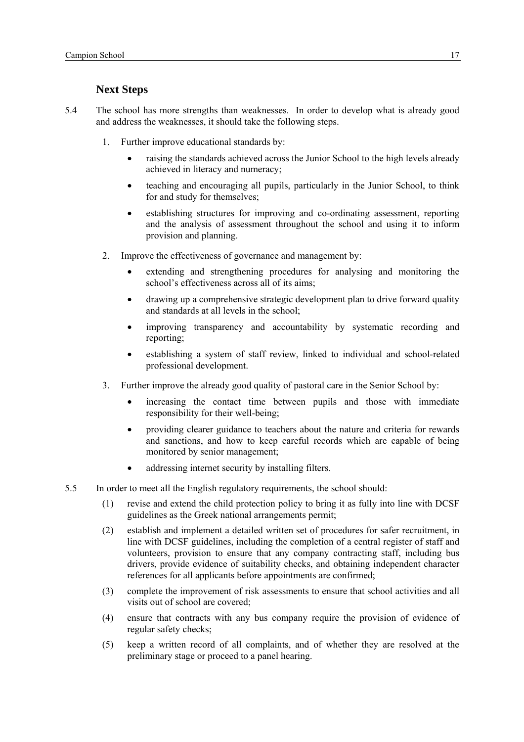## **Next Steps**

- <span id="page-18-0"></span>5.4 The school has more strengths than weaknesses. In order to develop what is already good and address the weaknesses, it should take the following steps.
	- 1. Further improve educational standards by:
		- raising the standards achieved across the Junior School to the high levels already achieved in literacy and numeracy;
		- teaching and encouraging all pupils, particularly in the Junior School, to think for and study for themselves;
		- establishing structures for improving and co-ordinating assessment, reporting and the analysis of assessment throughout the school and using it to inform provision and planning.
	- 2. Improve the effectiveness of governance and management by:
		- extending and strengthening procedures for analysing and monitoring the school's effectiveness across all of its aims;
		- drawing up a comprehensive strategic development plan to drive forward quality and standards at all levels in the school;
		- improving transparency and accountability by systematic recording and reporting;
		- establishing a system of staff review, linked to individual and school-related professional development.
	- 3. Further improve the already good quality of pastoral care in the Senior School by:
		- increasing the contact time between pupils and those with immediate responsibility for their well-being;
		- providing clearer guidance to teachers about the nature and criteria for rewards and sanctions, and how to keep careful records which are capable of being monitored by senior management;
		- addressing internet security by installing filters.
- 5.5 In order to meet all the English regulatory requirements, the school should:
	- (1) revise and extend the child protection policy to bring it as fully into line with DCSF guidelines as the Greek national arrangements permit;
	- (2) establish and implement a detailed written set of procedures for safer recruitment, in line with DCSF guidelines, including the completion of a central register of staff and volunteers, provision to ensure that any company contracting staff, including bus drivers, provide evidence of suitability checks, and obtaining independent character references for all applicants before appointments are confirmed;
	- (3) complete the improvement of risk assessments to ensure that school activities and all visits out of school are covered;
	- (4) ensure that contracts with any bus company require the provision of evidence of regular safety checks;
	- (5) keep a written record of all complaints, and of whether they are resolved at the preliminary stage or proceed to a panel hearing.